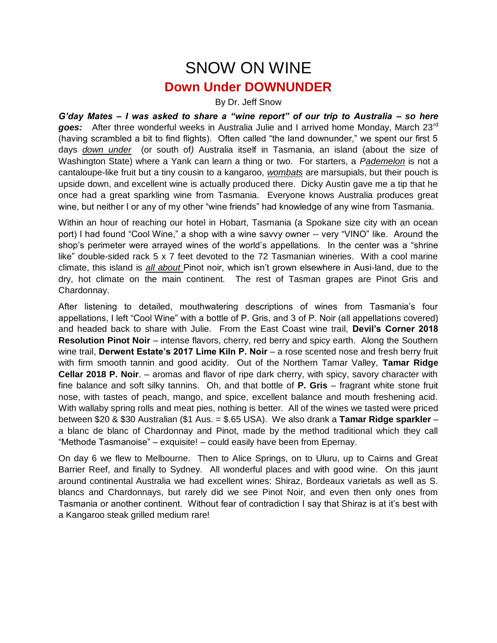## SNOW ON WINE **Down Under DOWNUNDER**

## By Dr. Jeff Snow

*G'day Mates – I was asked to share a "wine report" of our trip to Australia – so here goes:* After three wonderful weeks in Australia Julie and I arrived home Monday, March 23rd (having scrambled a bit to find flights). Often called "the land downunder," we spent our first 5 days *down under* (or south of*)* Australia itself in Tasmania, an island (about the size of Washington State) where a Yank can learn a thing or two. For starters, a *Pademelon* is not a cantaloupe-like fruit but a tiny cousin to a kangaroo, *wombats* are marsupials, but their pouch is upside down, and excellent wine is actually produced there. Dicky Austin gave me a tip that he once had a great sparkling wine from Tasmania. Everyone knows Australia produces great wine, but neither I or any of my other "wine friends" had knowledge of any wine from Tasmania.

Within an hour of reaching our hotel in Hobart, Tasmania (a Spokane size city with an ocean port) I had found "Cool Wine," a shop with a wine savvy owner -- very "VINO" like. Around the shop's perimeter were arrayed wines of the world's appellations. In the center was a "shrine like" double-sided rack 5 x 7 feet devoted to the 72 Tasmanian wineries. With a cool marine climate, this island is *all about* Pinot noir, which isn't grown elsewhere in Ausi-land, due to the dry, hot climate on the main continent. The rest of Tasman grapes are Pinot Gris and Chardonnay.

After listening to detailed, mouthwatering descriptions of wines from Tasmania's four appellations, I left "Cool Wine" with a bottle of P. Gris, and 3 of P. Noir (all appellations covered) and headed back to share with Julie. From the East Coast wine trail, **Devil's Corner 2018 Resolution Pinot Noir** – intense flavors, cherry, red berry and spicy earth. Along the Southern wine trail, **Derwent Estate's 2017 Lime Kiln P. Noir** – a rose scented nose and fresh berry fruit with firm smooth tannin and good acidity. Out of the Northern Tamar Valley, **Tamar Ridge Cellar 2018 P. Noir**. – aromas and flavor of ripe dark cherry, with spicy, savory character with fine balance and soft silky tannins. Oh, and that bottle of **P. Gris** – fragrant white stone fruit nose, with tastes of peach, mango, and spice, excellent balance and mouth freshening acid. With wallaby spring rolls and meat pies, nothing is better. All of the wines we tasted were priced between \$20 & \$30 Australian (\$1 Aus. = \$.65 USA). We also drank a **Tamar Ridge sparkler** – a blanc de blanc of Chardonnay and Pinot, made by the method traditional which they call "Methode Tasmanoise" – exquisite! – could easily have been from Epernay.

On day 6 we flew to Melbourne. Then to Alice Springs, on to Uluru, up to Cairns and Great Barrier Reef, and finally to Sydney. All wonderful places and with good wine. On this jaunt around continental Australia we had excellent wines: Shiraz, Bordeaux varietals as well as S. blancs and Chardonnays, but rarely did we see Pinot Noir, and even then only ones from Tasmania or another continent. Without fear of contradiction I say that Shiraz is at it's best with a Kangaroo steak grilled medium rare!